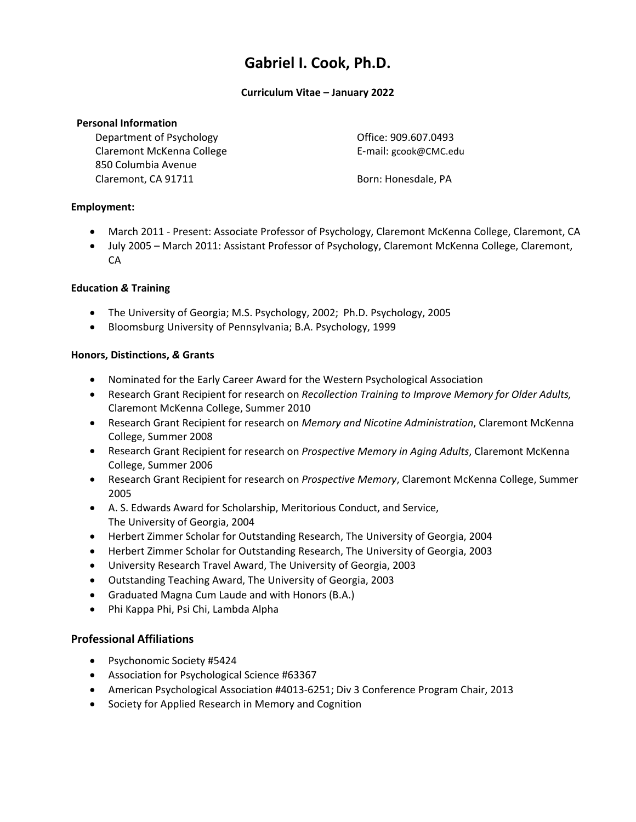# **Gabriel I. Cook, Ph.D.**

#### **Curriculum Vitae – January 2022**

#### **Personal Information**

Department of Psychology **Department** of Psychology  **COVID-20040** Office: 909.607.0493 Claremont McKenna College E‐mail: gcook@CMC.edu 850 Columbia Avenue Claremont, CA 91711 **Born: Honesdale, PA** 

# **Employment:**

- March 2011 Present: Associate Professor of Psychology, Claremont McKenna College, Claremont, CA
- July 2005 March 2011: Assistant Professor of Psychology, Claremont McKenna College, Claremont, CA

# **Education** *&* **Training**

- The University of Georgia; M.S. Psychology, 2002; Ph.D. Psychology, 2005
- Bloomsburg University of Pennsylvania; B.A. Psychology, 1999

#### **Honors, Distinctions,** *&* **Grants**

- Nominated for the Early Career Award for the Western Psychological Association
- Research Grant Recipient for research on *Recollection Training to Improve Memory for Older Adults,* Claremont McKenna College, Summer 2010
- Research Grant Recipient for research on *Memory and Nicotine Administration*, Claremont McKenna College, Summer 2008
- Research Grant Recipient for research on *Prospective Memory in Aging Adults*, Claremont McKenna College, Summer 2006
- Research Grant Recipient for research on *Prospective Memory*, Claremont McKenna College, Summer 2005
- A. S. Edwards Award for Scholarship, Meritorious Conduct, and Service, The University of Georgia, 2004
- Herbert Zimmer Scholar for Outstanding Research, The University of Georgia, 2004
- Herbert Zimmer Scholar for Outstanding Research, The University of Georgia, 2003
- University Research Travel Award, The University of Georgia, 2003
- Outstanding Teaching Award, The University of Georgia, 2003
- Graduated Magna Cum Laude and with Honors (B.A.)
- Phi Kappa Phi, Psi Chi, Lambda Alpha

# **Professional Affiliations**

- Psychonomic Society #5424
- Association for Psychological Science #63367
- American Psychological Association #4013‐6251; Div 3 Conference Program Chair, 2013
- Society for Applied Research in Memory and Cognition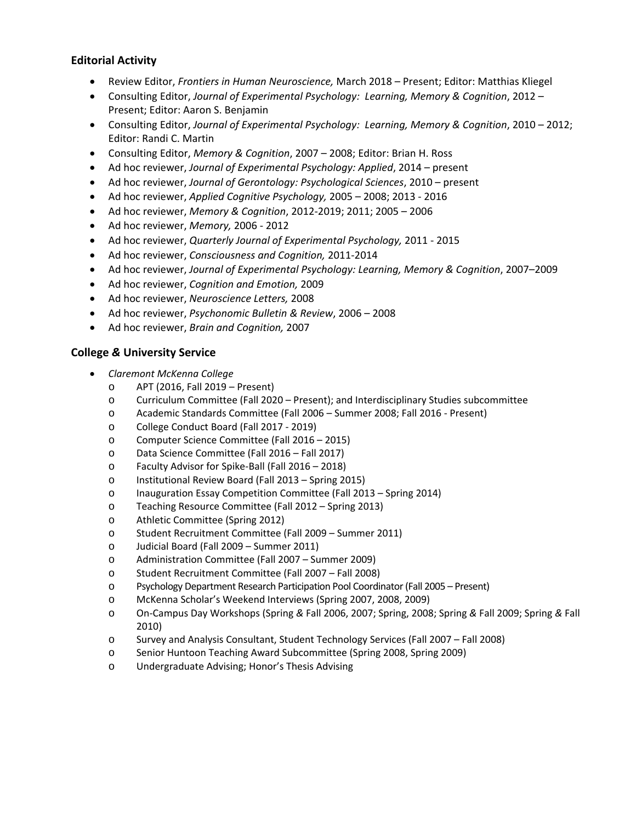# **Editorial Activity**

- Review Editor, *Frontiers in Human Neuroscience,* March 2018 Present; Editor: Matthias Kliegel
- Consulting Editor, *Journal of Experimental Psychology: Learning, Memory & Cognition*, 2012 Present; Editor: Aaron S. Benjamin
- Consulting Editor, *Journal of Experimental Psychology: Learning, Memory & Cognition*, 2010 2012; Editor: Randi C. Martin
- Consulting Editor, *Memory & Cognition*, 2007 2008; Editor: Brian H. Ross
- Ad hoc reviewer, *Journal of Experimental Psychology: Applied*, 2014 present
- Ad hoc reviewer, *Journal of Gerontology: Psychological Sciences*, 2010 present
- Ad hoc reviewer, *Applied Cognitive Psychology,* 2005 2008; 2013 ‐ 2016
- Ad hoc reviewer, *Memory & Cognition*, 2012‐2019; 2011; 2005 2006
- Ad hoc reviewer, *Memory,* 2006 ‐ 2012
- Ad hoc reviewer, *Quarterly Journal of Experimental Psychology,* 2011 ‐ 2015
- Ad hoc reviewer, *Consciousness and Cognition,* 2011‐2014
- Ad hoc reviewer, *Journal of Experimental Psychology: Learning, Memory & Cognition*, 2007–2009
- Ad hoc reviewer, *Cognition and Emotion,* 2009
- Ad hoc reviewer, *Neuroscience Letters,* 2008
- Ad hoc reviewer, *Psychonomic Bulletin & Review*, 2006 2008
- Ad hoc reviewer, *Brain and Cognition,* 2007

#### **College** *&* **University Service**

- *Claremont McKenna College*
	- o APT (2016, Fall 2019 Present)
	- o Curriculum Committee (Fall 2020 Present); and Interdisciplinary Studies subcommittee
	- o Academic Standards Committee (Fall 2006 Summer 2008; Fall 2016 ‐ Present)
	- o College Conduct Board (Fall 2017 ‐ 2019)
	- o Computer Science Committee (Fall 2016 2015)
	- o Data Science Committee (Fall 2016 Fall 2017)
	- o Faculty Advisor for Spike‐Ball (Fall 2016 2018)
	- o Institutional Review Board (Fall 2013 Spring 2015)
	- o Inauguration Essay Competition Committee (Fall 2013 Spring 2014)
	- o Teaching Resource Committee (Fall 2012 Spring 2013)
	- o Athletic Committee (Spring 2012)
	- o Student Recruitment Committee (Fall 2009 Summer 2011)
	- o Judicial Board (Fall 2009 Summer 2011)
	- o Administration Committee (Fall 2007 Summer 2009)
	- o Student Recruitment Committee (Fall 2007 Fall 2008)
	- o Psychology Department Research Participation Pool Coordinator(Fall 2005 Present)
	- o McKenna Scholar's Weekend Interviews (Spring 2007, 2008, 2009)
	- o On‐Campus Day Workshops (Spring *&* Fall 2006, 2007; Spring, 2008; Spring *&* Fall 2009; Spring *&* Fall 2010)
	- o Survey and Analysis Consultant, Student Technology Services (Fall 2007 Fall 2008)
	- o Senior Huntoon Teaching Award Subcommittee (Spring 2008, Spring 2009)
	- o Undergraduate Advising; Honor's Thesis Advising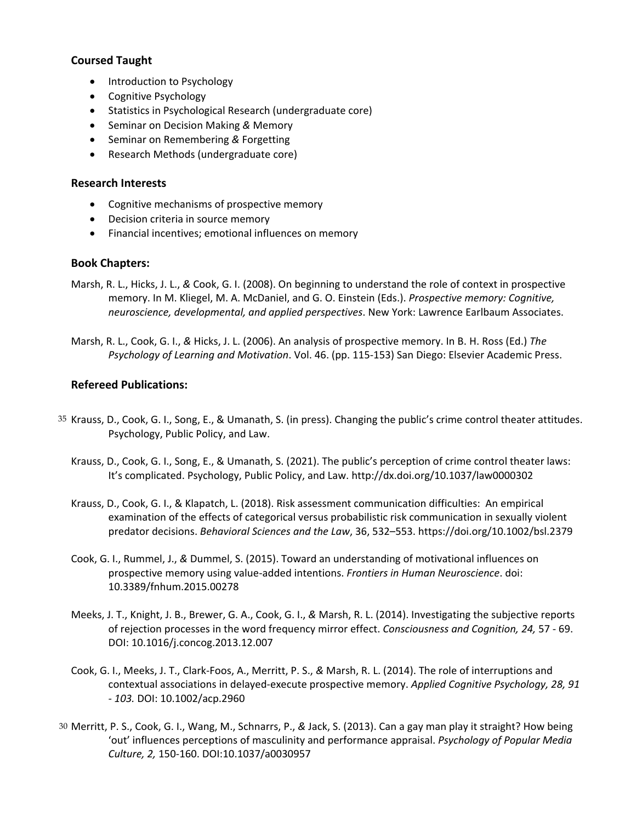# **Coursed Taught**

- Introduction to Psychology
- Cognitive Psychology
- Statistics in Psychological Research (undergraduate core)
- Seminar on Decision Making *&* Memory
- **•** Seminar on Remembering & Forgetting
- Research Methods (undergraduate core)

# **Research Interests**

- Cognitive mechanisms of prospective memory
- Decision criteria in source memory
- Financial incentives; emotional influences on memory

# **Book Chapters:**

- Marsh, R. L., Hicks, J. L., *&* Cook, G. I. (2008). On beginning to understand the role of context in prospective memory. In M. Kliegel, M. A. McDaniel, and G. O. Einstein (Eds.). *Prospective memory: Cognitive, neuroscience, developmental, and applied perspectives*. New York: Lawrence Earlbaum Associates.
- Marsh, R. L., Cook, G. I., *&* Hicks, J. L. (2006). An analysis of prospective memory. In B. H. Ross (Ed.) *The Psychology of Learning and Motivation*. Vol. 46. (pp. 115‐153) San Diego: Elsevier Academic Press.

# **Refereed Publications:**

- 35 Krauss, D., Cook, G. I., Song, E., & Umanath, S. (in press). Changing the public's crime control theater attitudes. Psychology, Public Policy, and Law.
	- Krauss, D., Cook, G. I., Song, E., & Umanath, S. (2021). The public's perception of crime control theater laws: It's complicated. Psychology, Public Policy, and Law. http://dx.doi.org/10.1037/law0000302
	- Krauss, D., Cook, G. I., & Klapatch, L. (2018). Risk assessment communication difficulties: An empirical examination of the effects of categorical versus probabilistic risk communication in sexually violent predator decisions. *Behavioral Sciences and the Law*, 36, 532–553. https://doi.org/10.1002/bsl.2379
	- Cook, G. I., Rummel, J., *&* Dummel, S. (2015). Toward an understanding of motivational influences on prospective memory using value‐added intentions. *Frontiers in Human Neuroscience*. doi: 10.3389/fnhum.2015.00278
	- Meeks, J. T., Knight, J. B., Brewer, G. A., Cook, G. I., *&* Marsh, R. L. (2014). Investigating the subjective reports of rejection processes in the word frequency mirror effect. *Consciousness and Cognition, 24,* 57 ‐ 69. DOI: 10.1016/j.concog.2013.12.007
	- Cook, G. I., Meeks, J. T., Clark‐Foos, A., Merritt, P. S., *&* Marsh, R. L. (2014). The role of interruptions and contextual associations in delayed‐execute prospective memory. *Applied Cognitive Psychology, 28, 91 ‐ 103.* DOI: 10.1002/acp.2960
- 30 Merritt, P. S., Cook, G. I., Wang, M., Schnarrs, P., *&* Jack, S. (2013). Can a gay man play it straight? How being 'out' influences perceptions of masculinity and performance appraisal. *Psychology of Popular Media Culture, 2,* 150‐160. DOI:10.1037/a0030957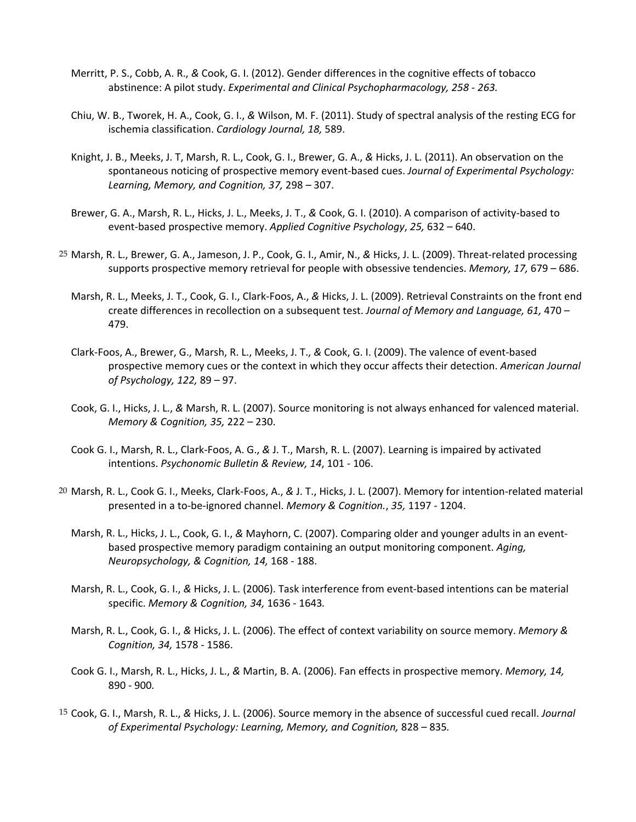- Merritt, P. S., Cobb, A. R., *&* Cook, G. I. (2012). Gender differences in the cognitive effects of tobacco abstinence: A pilot study. *Experimental and Clinical Psychopharmacology, 258 ‐ 263.*
- Chiu, W. B., Tworek, H. A., Cook, G. I., *&* Wilson, M. F. (2011). Study of spectral analysis of the resting ECG for ischemia classification. *Cardiology Journal, 18,* 589.
- Knight, J. B., Meeks, J. T, Marsh, R. L., Cook, G. I., Brewer, G. A., *&* Hicks, J. L. (2011). An observation on the spontaneous noticing of prospective memory event‐based cues. *Journal of Experimental Psychology: Learning, Memory, and Cognition, 37,* 298 – 307.
- Brewer, G. A., Marsh, R. L., Hicks, J. L., Meeks, J. T., *&* Cook, G. I. (2010). A comparison of activity‐based to event‐based prospective memory. *Applied Cognitive Psychology*, *25,* 632 – 640.
- 25 Marsh, R. L., Brewer, G. A., Jameson, J. P., Cook, G. I., Amir, N., *&* Hicks, J. L. (2009). Threat‐related processing supports prospective memory retrieval for people with obsessive tendencies. *Memory, 17,* 679 – 686.
	- Marsh, R. L., Meeks, J. T., Cook, G. I., Clark‐Foos, A., *&* Hicks, J. L. (2009). Retrieval Constraints on the front end create differences in recollection on a subsequent test. *Journal of Memory and Language, 61,* 470 – 479.
	- Clark‐Foos, A., Brewer, G., Marsh, R. L., Meeks, J. T., *&* Cook, G. I. (2009). The valence of event‐based prospective memory cues or the context in which they occur affects their detection. *American Journal of Psychology, 122,* 89 – 97.
	- Cook, G. I., Hicks, J. L., *&* Marsh, R. L. (2007). Source monitoring is not always enhanced for valenced material. *Memory & Cognition, 35,* 222 – 230.
	- Cook G. I., Marsh, R. L., Clark‐Foos, A. G., *&* J. T., Marsh, R. L. (2007). Learning is impaired by activated intentions. *Psychonomic Bulletin & Review, 14*, 101 ‐ 106.
- 20 Marsh, R. L., Cook G. I., Meeks, Clark‐Foos, A., *&* J. T., Hicks, J. L. (2007). Memory for intention‐related material presented in a to‐be‐ignored channel. *Memory & Cognition.*, *35,* 1197 ‐ 1204.
	- Marsh, R. L., Hicks, J. L., Cook, G. I., *&* Mayhorn, C. (2007). Comparing older and younger adults in an event‐ based prospective memory paradigm containing an output monitoring component. *Aging, Neuropsychology, & Cognition, 14,* 168 ‐ 188.
	- Marsh, R. L., Cook, G. I., *&* Hicks, J. L. (2006). Task interference from event‐based intentions can be material specific. *Memory & Cognition, 34,* 1636 ‐ 1643*.*
	- Marsh, R. L., Cook, G. I., *&* Hicks, J. L. (2006). The effect of context variability on source memory. *Memory & Cognition, 34,* 1578 ‐ 1586.
	- Cook G. I., Marsh, R. L., Hicks, J. L., *&* Martin, B. A. (2006). Fan effects in prospective memory. *Memory, 14,* 890 ‐ 900*.*
- 15 Cook, G. I., Marsh, R. L., *&* Hicks, J. L. (2006). Source memory in the absence of successful cued recall. *Journal of Experimental Psychology: Learning, Memory, and Cognition,* 828 – 835*.*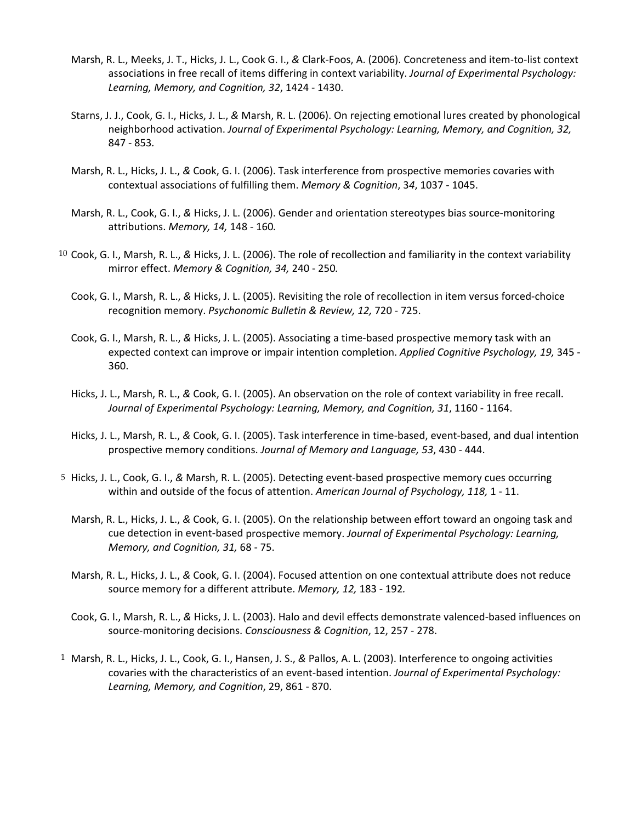- Marsh, R. L., Meeks, J. T., Hicks, J. L., Cook G. I., *&* Clark‐Foos, A. (2006). Concreteness and item‐to‐list context associations in free recall of items differing in context variability. *Journal of Experimental Psychology: Learning, Memory, and Cognition, 32*, 1424 ‐ 1430.
- Starns, J. J., Cook, G. I., Hicks, J. L., *&* Marsh, R. L. (2006). On rejecting emotional lures created by phonological neighborhood activation. *Journal of Experimental Psychology: Learning, Memory, and Cognition, 32,* 847 ‐ 853*.*
- Marsh, R. L., Hicks, J. L., *&* Cook, G. I. (2006). Task interference from prospective memories covaries with contextual associations of fulfilling them. *Memory & Cognition*, 3*4*, 1037 ‐ 1045.
- Marsh, R. L., Cook, G. I., *&* Hicks, J. L. (2006). Gender and orientation stereotypes bias source‐monitoring attributions. *Memory, 14,* 148 ‐ 160*.*
- 10 Cook, G. I., Marsh, R. L., *&* Hicks, J. L. (2006). The role of recollection and familiarity in the context variability mirror effect. *Memory & Cognition, 34,* 240 ‐ 250*.*
	- Cook, G. I., Marsh, R. L., *&* Hicks, J. L. (2005). Revisiting the role of recollection in item versus forced‐choice recognition memory. *Psychonomic Bulletin & Review, 12,* 720 ‐ 725.
	- Cook, G. I., Marsh, R. L., *&* Hicks, J. L. (2005). Associating a time‐based prospective memory task with an expected context can improve or impair intention completion. *Applied Cognitive Psychology, 19,* 345 ‐ 360.
	- Hicks, J. L., Marsh, R. L., *&* Cook, G. I. (2005). An observation on the role of context variability in free recall. *Journal of Experimental Psychology: Learning, Memory, and Cognition, 31*, 1160 ‐ 1164.
	- Hicks, J. L., Marsh, R. L., *&* Cook, G. I. (2005). Task interference in time‐based, event‐based, and dual intention prospective memory conditions. *Journal of Memory and Language, 53*, 430 ‐ 444.
- 5 Hicks, J. L., Cook, G. I., *&* Marsh, R. L. (2005). Detecting event‐based prospective memory cues occurring within and outside of the focus of attention. *American Journal of Psychology, 118,* 1 ‐ 11.
	- Marsh, R. L., Hicks, J. L., *&* Cook, G. I. (2005). On the relationship between effort toward an ongoing task and cue detection in event‐based prospective memory. *Journal of Experimental Psychology: Learning, Memory, and Cognition, 31,* 68 ‐ 75.
	- Marsh, R. L., Hicks, J. L., *&* Cook, G. I. (2004). Focused attention on one contextual attribute does not reduce source memory for a different attribute. *Memory, 12,* 183 ‐ 192*.*
	- Cook, G. I., Marsh, R. L., *&* Hicks, J. L. (2003). Halo and devil effects demonstrate valenced‐based influences on source‐monitoring decisions. *Consciousness & Cognition*, 12, 257 ‐ 278.
- 1 Marsh, R. L., Hicks, J. L., Cook, G. I., Hansen, J. S., *&* Pallos, A. L. (2003). Interference to ongoing activities covaries with the characteristics of an event‐based intention. *Journal of Experimental Psychology: Learning, Memory, and Cognition*, 29, 861 ‐ 870.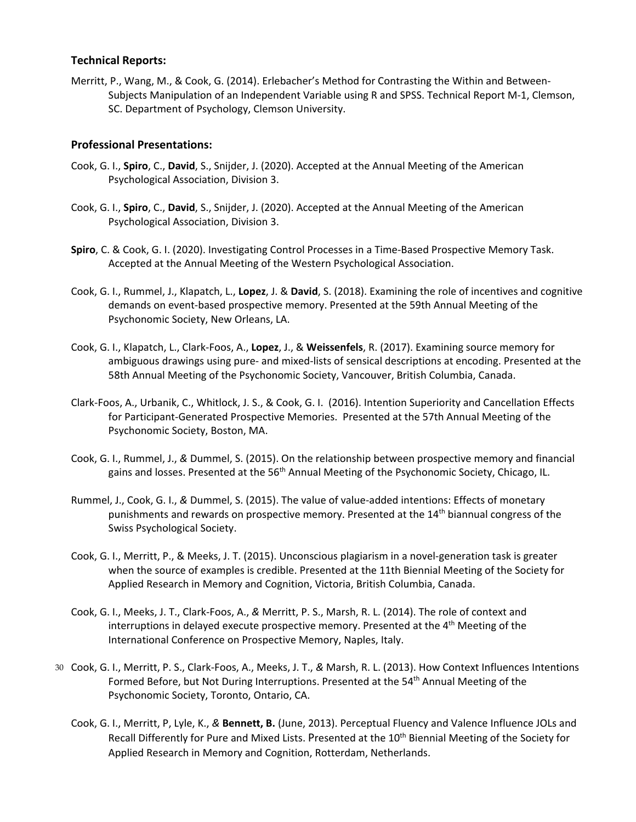#### **Technical Reports:**

Merritt, P., Wang, M., & Cook, G. (2014). Erlebacher's Method for Contrasting the Within and Between‐ Subjects Manipulation of an Independent Variable using R and SPSS. Technical Report M‐1, Clemson, SC. Department of Psychology, Clemson University.

## **Professional Presentations:**

- Cook, G. I., **Spiro**, C., **David**, S., Snijder, J. (2020). Accepted at the Annual Meeting of the American Psychological Association, Division 3.
- Cook, G. I., **Spiro**, C., **David**, S., Snijder, J. (2020). Accepted at the Annual Meeting of the American Psychological Association, Division 3.
- **Spiro**, C. & Cook, G. I. (2020). Investigating Control Processes in a Time‐Based Prospective Memory Task. Accepted at the Annual Meeting of the Western Psychological Association.
- Cook, G. I., Rummel, J., Klapatch, L., **Lopez**, J. & **David**, S. (2018). Examining the role of incentives and cognitive demands on event‐based prospective memory. Presented at the 59th Annual Meeting of the Psychonomic Society, New Orleans, LA.
- Cook, G. I., Klapatch, L., Clark‐Foos, A., **Lopez**, J., & **Weissenfels**, R. (2017). Examining source memory for ambiguous drawings using pure‐ and mixed‐lists of sensical descriptions at encoding. Presented at the 58th Annual Meeting of the Psychonomic Society, Vancouver, British Columbia, Canada.
- Clark‐Foos, A., Urbanik, C., Whitlock, J. S., & Cook, G. I. (2016). Intention Superiority and Cancellation Effects for Participant‐Generated Prospective Memories. Presented at the 57th Annual Meeting of the Psychonomic Society, Boston, MA.
- Cook, G. I., Rummel, J., *&* Dummel, S. (2015). On the relationship between prospective memory and financial gains and losses. Presented at the 56<sup>th</sup> Annual Meeting of the Psychonomic Society, Chicago, IL.
- Rummel, J., Cook, G. I., *&* Dummel, S. (2015). The value of value‐added intentions: Effects of monetary punishments and rewards on prospective memory. Presented at the 14<sup>th</sup> biannual congress of the Swiss Psychological Society.
- Cook, G. I., Merritt, P., & Meeks, J. T. (2015). Unconscious plagiarism in a novel‐generation task is greater when the source of examples is credible. Presented at the 11th Biennial Meeting of the Society for Applied Research in Memory and Cognition, Victoria, British Columbia, Canada.
- Cook, G. I., Meeks, J. T., Clark‐Foos, A., *&* Merritt, P. S., Marsh, R. L. (2014). The role of context and interruptions in delayed execute prospective memory. Presented at the 4<sup>th</sup> Meeting of the International Conference on Prospective Memory, Naples, Italy.
- 30 Cook, G. I., Merritt, P. S., Clark‐Foos, A., Meeks, J. T., *&* Marsh, R. L. (2013). How Context Influences Intentions Formed Before, but Not During Interruptions. Presented at the 54<sup>th</sup> Annual Meeting of the Psychonomic Society, Toronto, Ontario, CA.
	- Cook, G. I., Merritt, P, Lyle, K., *&* **Bennett, B.** (June, 2013). Perceptual Fluency and Valence Influence JOLs and Recall Differently for Pure and Mixed Lists. Presented at the 10<sup>th</sup> Biennial Meeting of the Society for Applied Research in Memory and Cognition, Rotterdam, Netherlands.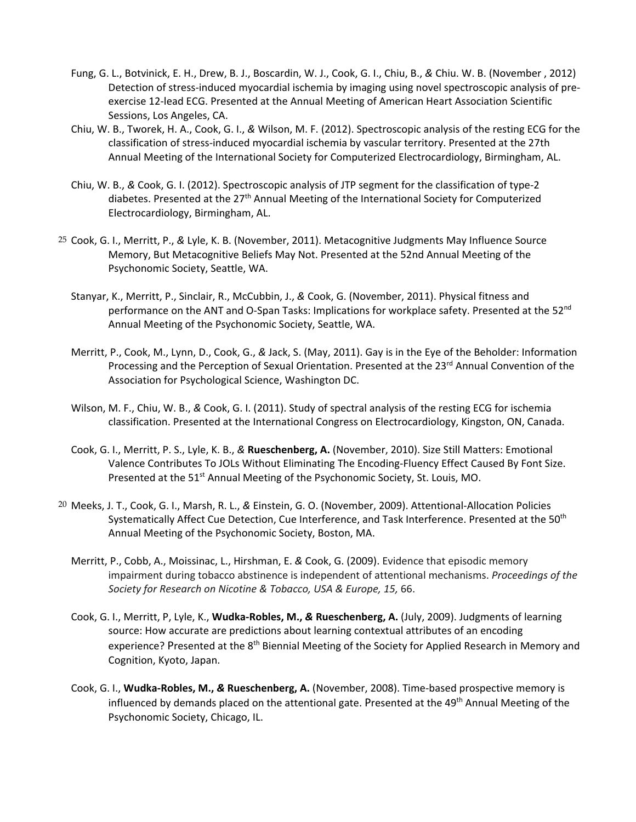- Fung, G. L., Botvinick, E. H., Drew, B. J., Boscardin, W. J., Cook, G. I., Chiu, B., *&* Chiu. W. B. (November , 2012) Detection of stress-induced myocardial ischemia by imaging using novel spectroscopic analysis of preexercise 12‐lead ECG. Presented at the Annual Meeting of American Heart Association Scientific Sessions, Los Angeles, CA.
- Chiu, W. B., Tworek, H. A., Cook, G. I., *&* Wilson, M. F. (2012). Spectroscopic analysis of the resting ECG for the classification of stress‐induced myocardial ischemia by vascular territory. Presented at the 27th Annual Meeting of the International Society for Computerized Electrocardiology, Birmingham, AL.
- Chiu, W. B., *&* Cook, G. I. (2012). Spectroscopic analysis of JTP segment for the classification of type‐2 diabetes. Presented at the 27<sup>th</sup> Annual Meeting of the International Society for Computerized Electrocardiology, Birmingham, AL.
- 25 Cook, G. I., Merritt, P., *&* Lyle, K. B. (November, 2011). Metacognitive Judgments May Influence Source Memory, But Metacognitive Beliefs May Not. Presented at the 52nd Annual Meeting of the Psychonomic Society, Seattle, WA.
	- Stanyar, K., Merritt, P., Sinclair, R., McCubbin, J., *&* Cook, G. (November, 2011). Physical fitness and performance on the ANT and O-Span Tasks: Implications for workplace safety. Presented at the 52<sup>nd</sup> Annual Meeting of the Psychonomic Society, Seattle, WA.
	- Merritt, P., Cook, M., Lynn, D., Cook, G., *&* Jack, S. (May, 2011). Gay is in the Eye of the Beholder: Information Processing and the Perception of Sexual Orientation. Presented at the 23<sup>rd</sup> Annual Convention of the Association for Psychological Science, Washington DC.
	- Wilson, M. F., Chiu, W. B., *&* Cook, G. I. (2011). Study of spectral analysis of the resting ECG for ischemia classification. Presented at the International Congress on Electrocardiology, Kingston, ON, Canada.
	- Cook, G. I., Merritt, P. S., Lyle, K. B., *&* **Rueschenberg, A.** (November, 2010). Size Still Matters: Emotional Valence Contributes To JOLs Without Eliminating The Encoding‐Fluency Effect Caused By Font Size. Presented at the 51<sup>st</sup> Annual Meeting of the Psychonomic Society, St. Louis, MO.
- 20 Meeks, J. T., Cook, G. I., Marsh, R. L., *&* Einstein, G. O. (November, 2009). Attentional‐Allocation Policies Systematically Affect Cue Detection, Cue Interference, and Task Interference. Presented at the 50<sup>th</sup> Annual Meeting of the Psychonomic Society, Boston, MA.
	- Merritt, P., Cobb, A., Moissinac, L., Hirshman, E. *&* Cook, G. (2009). Evidence that episodic memory impairment during tobacco abstinence is independent of attentional mechanisms. *Proceedings of the Society for Research on Nicotine & Tobacco, USA & Europe, 15,* 66.
	- Cook, G. I., Merritt, P, Lyle, K., **Wudka‐Robles, M.,** *&* **Rueschenberg, A.** (July, 2009). Judgments of learning source: How accurate are predictions about learning contextual attributes of an encoding experience? Presented at the 8<sup>th</sup> Biennial Meeting of the Society for Applied Research in Memory and Cognition, Kyoto, Japan.
	- Cook, G. I., **Wudka‐Robles, M.,** *&* **Rueschenberg, A.** (November, 2008). Time‐based prospective memory is influenced by demands placed on the attentional gate. Presented at the 49<sup>th</sup> Annual Meeting of the Psychonomic Society, Chicago, IL.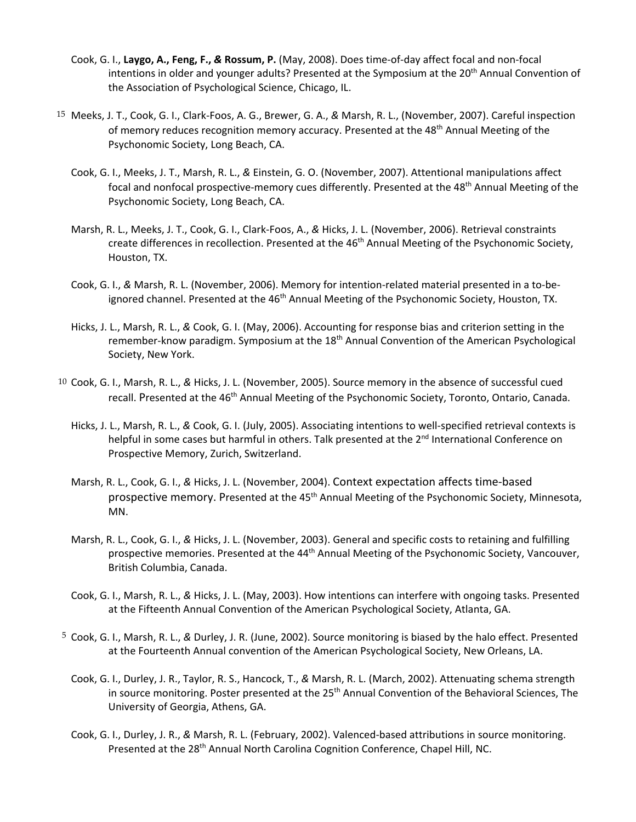- Cook, G. I., **Laygo, A., Feng, F.,** *&* **Rossum, P.** (May, 2008). Does time‐of‐day affect focal and non‐focal intentions in older and younger adults? Presented at the Symposium at the 20<sup>th</sup> Annual Convention of the Association of Psychological Science, Chicago, IL.
- 15 Meeks, J. T., Cook, G. I., Clark‐Foos, A. G., Brewer, G. A., *&* Marsh, R. L., (November, 2007). Careful inspection of memory reduces recognition memory accuracy. Presented at the 48<sup>th</sup> Annual Meeting of the Psychonomic Society, Long Beach, CA.
	- Cook, G. I., Meeks, J. T., Marsh, R. L., *&* Einstein, G. O. (November, 2007). Attentional manipulations affect focal and nonfocal prospective-memory cues differently. Presented at the 48<sup>th</sup> Annual Meeting of the Psychonomic Society, Long Beach, CA.
	- Marsh, R. L., Meeks, J. T., Cook, G. I., Clark‐Foos, A., *&* Hicks, J. L. (November, 2006). Retrieval constraints create differences in recollection. Presented at the 46<sup>th</sup> Annual Meeting of the Psychonomic Society, Houston, TX.
	- Cook, G. I., & Marsh, R. L. (November, 2006). Memory for intention-related material presented in a to-beignored channel. Presented at the 46<sup>th</sup> Annual Meeting of the Psychonomic Society, Houston, TX.
	- Hicks, J. L., Marsh, R. L., *&* Cook, G. I. (May, 2006). Accounting for response bias and criterion setting in the remember-know paradigm. Symposium at the 18<sup>th</sup> Annual Convention of the American Psychological Society, New York.
- 10 Cook, G. I., Marsh, R. L., *&* Hicks, J. L. (November, 2005). Source memory in the absence of successful cued recall. Presented at the 46<sup>th</sup> Annual Meeting of the Psychonomic Society, Toronto, Ontario, Canada.
	- Hicks, J. L., Marsh, R. L., *&* Cook, G. I. (July, 2005). Associating intentions to well‐specified retrieval contexts is helpful in some cases but harmful in others. Talk presented at the 2<sup>nd</sup> International Conference on Prospective Memory, Zurich, Switzerland.
	- Marsh, R. L., Cook, G. I., *&* Hicks, J. L. (November, 2004). Context expectation affects time‐based prospective memory. Presented at the 45<sup>th</sup> Annual Meeting of the Psychonomic Society, Minnesota, MN.
	- Marsh, R. L., Cook, G. I., *&* Hicks, J. L. (November, 2003). General and specific costs to retaining and fulfilling prospective memories. Presented at the 44<sup>th</sup> Annual Meeting of the Psychonomic Society, Vancouver, British Columbia, Canada.
	- Cook, G. I., Marsh, R. L., *&* Hicks, J. L. (May, 2003). How intentions can interfere with ongoing tasks. Presented at the Fifteenth Annual Convention of the American Psychological Society, Atlanta, GA.
- 5 Cook, G. I., Marsh, R. L., *&* Durley, J. R. (June, 2002). Source monitoring is biased by the halo effect. Presented at the Fourteenth Annual convention of the American Psychological Society, New Orleans, LA.
	- Cook, G. I., Durley, J. R., Taylor, R. S., Hancock, T., *&* Marsh, R. L. (March, 2002). Attenuating schema strength in source monitoring. Poster presented at the 25<sup>th</sup> Annual Convention of the Behavioral Sciences, The University of Georgia, Athens, GA.
	- Cook, G. I., Durley, J. R., *&* Marsh, R. L. (February, 2002). Valenced‐based attributions in source monitoring. Presented at the 28<sup>th</sup> Annual North Carolina Cognition Conference, Chapel Hill, NC.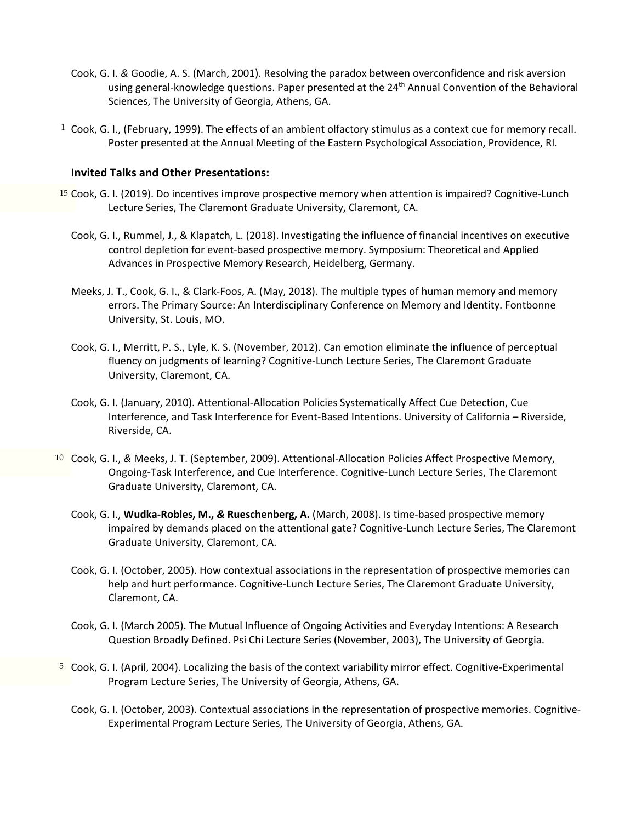- Cook, G. I. *&* Goodie, A. S. (March, 2001). Resolving the paradox between overconfidence and risk aversion using general-knowledge questions. Paper presented at the 24<sup>th</sup> Annual Convention of the Behavioral Sciences, The University of Georgia, Athens, GA.
- $1$  Cook, G. I., (February, 1999). The effects of an ambient olfactory stimulus as a context cue for memory recall. Poster presented at the Annual Meeting of the Eastern Psychological Association, Providence, RI.

#### **Invited Talks and Other Presentations:**

- 15 Cook, G. I. (2019). Do incentives improve prospective memory when attention is impaired? Cognitive-Lunch Lecture Series, The Claremont Graduate University, Claremont, CA.
	- Cook, G. I., Rummel, J., & Klapatch, L. (2018). Investigating the influence of financial incentives on executive control depletion for event‐based prospective memory. Symposium: Theoretical and Applied Advances in Prospective Memory Research, Heidelberg, Germany.
	- Meeks, J. T., Cook, G. I., & Clark‐Foos, A. (May, 2018). The multiple types of human memory and memory errors. The Primary Source: An Interdisciplinary Conference on Memory and Identity. Fontbonne University, St. Louis, MO.
	- Cook, G. I., Merritt, P. S., Lyle, K. S. (November, 2012). Can emotion eliminate the influence of perceptual fluency on judgments of learning? Cognitive‐Lunch Lecture Series, The Claremont Graduate University, Claremont, CA.
	- Cook, G. I. (January, 2010). Attentional‐Allocation Policies Systematically Affect Cue Detection, Cue Interference, and Task Interference for Event‐Based Intentions. University of California – Riverside, Riverside, CA.
- 10 Cook, G. I., *&* Meeks, J. T. (September, 2009). Attentional‐Allocation Policies Affect Prospective Memory, Ongoing‐Task Interference, and Cue Interference. Cognitive‐Lunch Lecture Series, The Claremont Graduate University, Claremont, CA.
	- Cook, G. I., **Wudka‐Robles, M.,** *&* **Rueschenberg, A.** (March, 2008). Is time‐based prospective memory impaired by demands placed on the attentional gate? Cognitive‐Lunch Lecture Series, The Claremont Graduate University, Claremont, CA.
	- Cook, G. I. (October, 2005). How contextual associations in the representation of prospective memories can help and hurt performance. Cognitive-Lunch Lecture Series, The Claremont Graduate University, Claremont, CA.
	- Cook, G. I. (March 2005). The Mutual Influence of Ongoing Activities and Everyday Intentions: A Research Question Broadly Defined. Psi Chi Lecture Series (November, 2003), The University of Georgia.
- <sup>5</sup> Cook, G. I. (April, 2004). Localizing the basis of the context variability mirror effect. Cognitive-Experimental Program Lecture Series, The University of Georgia, Athens, GA.
	- Cook, G. I. (October, 2003). Contextual associations in the representation of prospective memories. Cognitive‐ Experimental Program Lecture Series, The University of Georgia, Athens, GA.